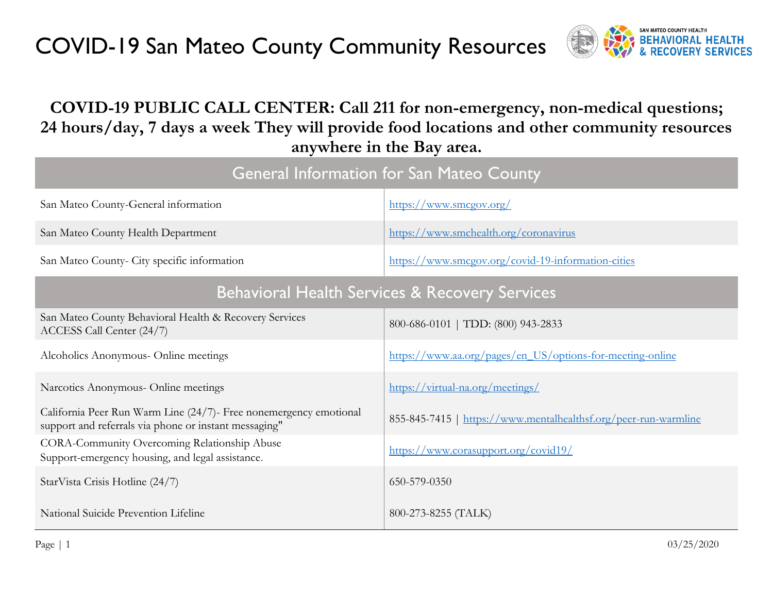

#### **COVID-19 PUBLIC CALL CENTER: Call 211 for non-emergency, non-medical questions; 24 hours/day, 7 days a week They will provide food locations and other community resources anywhere in the Bay area.**

| <b>General Information for San Mateo County</b>                                                                            |                                                                 |  |  |  |
|----------------------------------------------------------------------------------------------------------------------------|-----------------------------------------------------------------|--|--|--|
| San Mateo County-General information                                                                                       | https://www.smcgov.org/                                         |  |  |  |
| San Mateo County Health Department                                                                                         | https://www.smchealth.org/coronavirus                           |  |  |  |
| San Mateo County- City specific information                                                                                | https://www.smcgov.org/covid-19-information-cities              |  |  |  |
|                                                                                                                            | <b>Behavioral Health Services &amp; Recovery Services</b>       |  |  |  |
| San Mateo County Behavioral Health & Recovery Services<br>ACCESS Call Center (24/7)                                        | 800-686-0101   TDD: (800) 943-2833                              |  |  |  |
| Alcoholics Anonymous- Online meetings                                                                                      | https://www.aa.org/pages/en_US/options-for-meeting-online       |  |  |  |
| Narcotics Anonymous- Online meetings                                                                                       | https://virtual-na.org/meetings/                                |  |  |  |
| California Peer Run Warm Line (24/7)- Free nonemergency emotional<br>support and referrals via phone or instant messaging" | 855-845-7415   https://www.mentalhealthsf.org/peer-run-warmline |  |  |  |
| CORA-Community Overcoming Relationship Abuse<br>Support-emergency housing, and legal assistance.                           | https://www.corasupport.org/covid19/                            |  |  |  |
| StarVista Crisis Hotline (24/7)                                                                                            | 650-579-0350                                                    |  |  |  |
| National Suicide Prevention Lifeline                                                                                       | 800-273-8255 (TALK)                                             |  |  |  |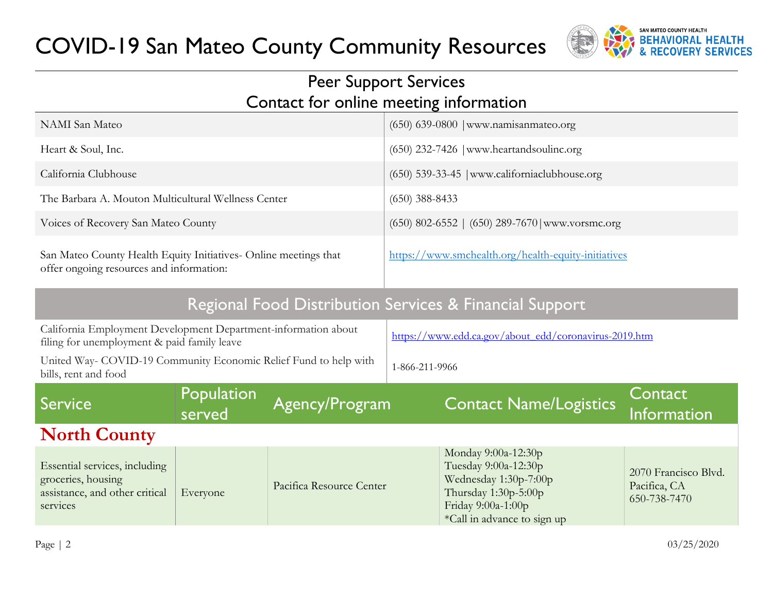

#### Peer Support Services Contact for online meeting information

| <b>NAMI</b> San Mateo                                                                                         |                                                         |                                                       | $(650)$ 639-0800   www.namisanmateo.org             |                                                                                                                                                   |                                                      |  |
|---------------------------------------------------------------------------------------------------------------|---------------------------------------------------------|-------------------------------------------------------|-----------------------------------------------------|---------------------------------------------------------------------------------------------------------------------------------------------------|------------------------------------------------------|--|
| Heart & Soul, Inc.                                                                                            |                                                         |                                                       | (650) 232-7426   www.heartandsoulinc.org            |                                                                                                                                                   |                                                      |  |
| California Clubhouse                                                                                          |                                                         |                                                       |                                                     | (650) 539-33-45   www.californiaclubhouse.org                                                                                                     |                                                      |  |
| The Barbara A. Mouton Multicultural Wellness Center                                                           |                                                         |                                                       | $(650)$ 388-8433                                    |                                                                                                                                                   |                                                      |  |
| Voices of Recovery San Mateo County                                                                           |                                                         |                                                       |                                                     | $(650)$ 802-6552   $(650)$ 289-7670   www.vorsmc.org                                                                                              |                                                      |  |
| San Mateo County Health Equity Initiatives- Online meetings that<br>offer ongoing resources and information:  |                                                         |                                                       | https://www.smchealth.org/health-equity-initiatives |                                                                                                                                                   |                                                      |  |
|                                                                                                               | Regional Food Distribution Services & Financial Support |                                                       |                                                     |                                                                                                                                                   |                                                      |  |
| California Employment Development Department-information about<br>filing for unemployment & paid family leave |                                                         | https://www.edd.ca.gov/about_edd/coronavirus-2019.htm |                                                     |                                                                                                                                                   |                                                      |  |
| United Way- COVID-19 Community Economic Relief Fund to help with<br>bills, rent and food                      |                                                         |                                                       | 1-866-211-9966                                      |                                                                                                                                                   |                                                      |  |
| <b>Service</b>                                                                                                | Population<br>served                                    | Agency/Program                                        |                                                     | <b>Contact Name/Logistics</b>                                                                                                                     | Contact<br>Information                               |  |
| <b>North County</b>                                                                                           |                                                         |                                                       |                                                     |                                                                                                                                                   |                                                      |  |
| Essential services, including<br>groceries, housing<br>assistance, and other critical<br>services             | Everyone                                                | Pacifica Resource Center                              |                                                     | Monday 9:00a-12:30p<br>Tuesday 9:00a-12:30p<br>Wednesday 1:30p-7:00p<br>Thursday 1:30p-5:00p<br>Friday 9:00a-1:00p<br>*Call in advance to sign up | 2070 Francisco Blvd.<br>Pacifica, CA<br>650-738-7470 |  |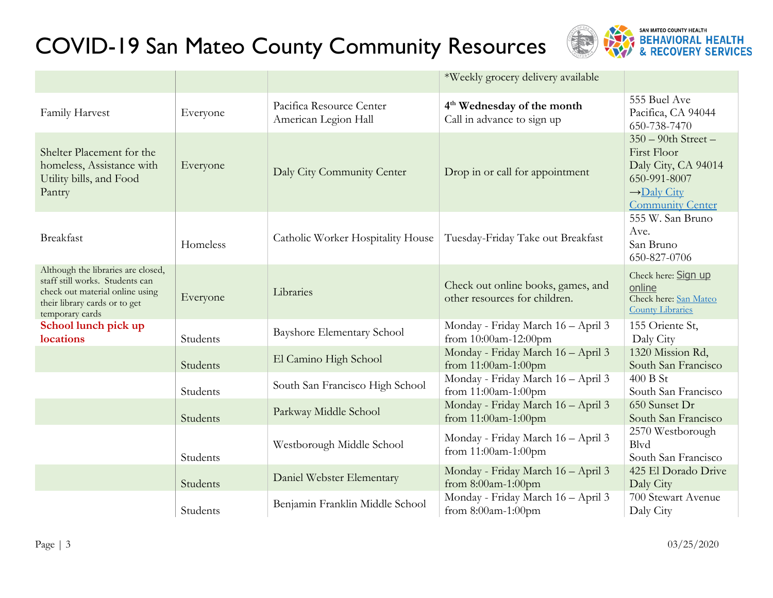

|                                                                                                                                                              |          |                                                  | *Weekly grocery delivery available                                   |                                                                                                                                    |
|--------------------------------------------------------------------------------------------------------------------------------------------------------------|----------|--------------------------------------------------|----------------------------------------------------------------------|------------------------------------------------------------------------------------------------------------------------------------|
| Family Harvest                                                                                                                                               | Everyone | Pacifica Resource Center<br>American Legion Hall | 4 <sup>th</sup> Wednesday of the month<br>Call in advance to sign up | 555 Buel Ave<br>Pacifica, CA 94044<br>650-738-7470                                                                                 |
| Shelter Placement for the<br>homeless, Assistance with<br>Utility bills, and Food<br>Pantry                                                                  | Everyone | Daly City Community Center                       | Drop in or call for appointment                                      | $350 - 90$ th Street -<br>First Floor<br>Daly City, CA 94014<br>650-991-8007<br>$\rightarrow$ Daly City<br><b>Community Center</b> |
| <b>Breakfast</b>                                                                                                                                             | Homeless | Catholic Worker Hospitality House                | Tuesday-Friday Take out Breakfast                                    | 555 W. San Bruno<br>Ave.<br>San Bruno<br>650-827-0706                                                                              |
| Although the libraries are closed,<br>staff still works. Students can<br>check out material online using<br>their library cards or to get<br>temporary cards | Everyone | Libraries                                        | Check out online books, games, and<br>other resources for children.  | Check here: Sign up<br>online<br>Check here: San Mateo<br><b>County Libraries</b>                                                  |
| School lunch pick up<br>locations                                                                                                                            | Students | <b>Bayshore Elementary School</b>                | Monday - Friday March 16 - April 3<br>from 10:00am-12:00pm           | 155 Oriente St,<br>Daly City                                                                                                       |
|                                                                                                                                                              | Students | El Camino High School                            | Monday - Friday March 16 - April 3<br>from 11:00am-1:00pm            | 1320 Mission Rd,<br>South San Francisco                                                                                            |
|                                                                                                                                                              | Students | South San Francisco High School                  | Monday - Friday March 16 - April 3<br>from 11:00am-1:00pm            | 400 B St<br>South San Francisco                                                                                                    |
|                                                                                                                                                              | Students | Parkway Middle School                            | Monday - Friday March 16 - April 3<br>from 11:00am-1:00pm            | 650 Sunset Dr<br>South San Francisco                                                                                               |
|                                                                                                                                                              | Students | Westborough Middle School                        | Monday - Friday March 16 - April 3<br>from 11:00am-1:00pm            | 2570 Westborough<br><b>B</b> lvd<br>South San Francisco                                                                            |
|                                                                                                                                                              | Students | Daniel Webster Elementary                        | Monday - Friday March 16 - April 3<br>from 8:00am-1:00pm             | 425 El Dorado Drive<br>Daly City                                                                                                   |
|                                                                                                                                                              | Students | Benjamin Franklin Middle School                  | Monday - Friday March 16 - April 3<br>from $8:00$ am-1:00pm          | 700 Stewart Avenue<br>Daly City                                                                                                    |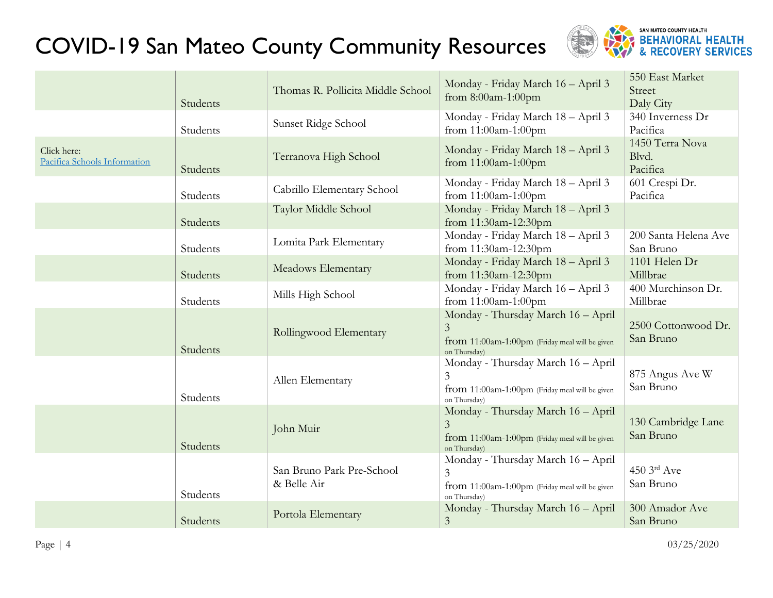

|                                             | Students | Thomas R. Pollicita Middle School        | Monday - Friday March 16 - April 3<br>from 8:00am-1:00pm                                                               | 550 East Market<br>Street<br>Daly City |
|---------------------------------------------|----------|------------------------------------------|------------------------------------------------------------------------------------------------------------------------|----------------------------------------|
|                                             | Students | Sunset Ridge School                      | Monday - Friday March 18 - April 3<br>from 11:00am-1:00pm                                                              | 340 Inverness Dr<br>Pacifica           |
| Click here:<br>Pacifica Schools Information | Students | Terranova High School                    | Monday - Friday March 18 - April 3<br>from 11:00am-1:00pm                                                              | 1450 Terra Nova<br>Blvd.<br>Pacifica   |
|                                             | Students | Cabrillo Elementary School               | Monday - Friday March 18 - April 3<br>from 11:00am-1:00pm                                                              | 601 Crespi Dr.<br>Pacifica             |
|                                             | Students | Taylor Middle School                     | Monday - Friday March 18 - April 3<br>from 11:30am-12:30pm                                                             |                                        |
|                                             | Students | Lomita Park Elementary                   | Monday - Friday March 18 - April 3<br>from 11:30am-12:30pm                                                             | 200 Santa Helena Ave<br>San Bruno      |
|                                             | Students | Meadows Elementary                       | Monday - Friday March 18 - April 3<br>from 11:30am-12:30pm                                                             | 1101 Helen Dr<br>Millbrae              |
|                                             | Students | Mills High School                        | Monday - Friday March 16 - April 3<br>from 11:00am-1:00pm                                                              | 400 Murchinson Dr.<br>Millbrae         |
|                                             | Students | Rollingwood Elementary                   | Monday - Thursday March 16 - April<br>$\mathfrak{Z}$<br>from 11:00am-1:00pm (Friday meal will be given<br>on Thursday) | 2500 Cottonwood Dr.<br>San Bruno       |
|                                             | Students | Allen Elementary                         | Monday - Thursday March 16 - April<br>$\mathfrak{Z}$<br>from 11:00am-1:00pm (Friday meal will be given<br>on Thursday) | 875 Angus Ave W<br>San Bruno           |
|                                             | Students | John Muir                                | Monday - Thursday March 16 - April<br>$\overline{3}$<br>from 11:00am-1:00pm (Friday meal will be given<br>on Thursday) | 130 Cambridge Lane<br>San Bruno        |
|                                             | Students | San Bruno Park Pre-School<br>& Belle Air | Monday - Thursday March 16 - April<br>$\mathfrak{Z}$<br>from 11:00am-1:00pm (Friday meal will be given<br>on Thursday) | 450 $3rd$ Ave<br>San Bruno             |
|                                             | Students | Portola Elementary                       | Monday - Thursday March 16 - April<br>$\overline{3}$                                                                   | 300 Amador Ave<br>San Bruno            |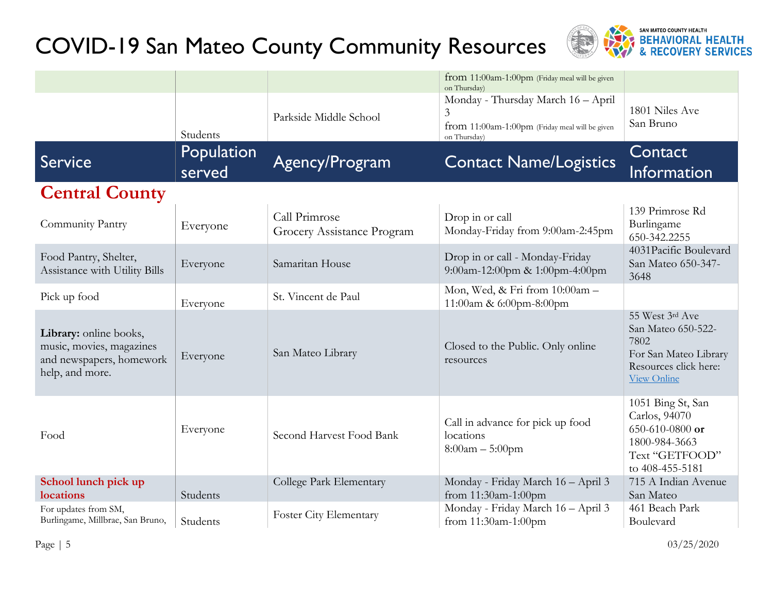

|                                                                                                   |                      |                                             | from 11:00am-1:00pm (Friday meal will be given<br>on Thursday)                                            |                                                                                                                       |
|---------------------------------------------------------------------------------------------------|----------------------|---------------------------------------------|-----------------------------------------------------------------------------------------------------------|-----------------------------------------------------------------------------------------------------------------------|
|                                                                                                   | Students             | Parkside Middle School                      | Monday - Thursday March 16 - April<br>3<br>from 11:00am-1:00pm (Friday meal will be given<br>on Thursday) | 1801 Niles Ave<br>San Bruno                                                                                           |
| Service                                                                                           | Population<br>served | Agency/Program                              | <b>Contact Name/Logistics</b>                                                                             | Contact<br>Information                                                                                                |
| <b>Central County</b>                                                                             |                      |                                             |                                                                                                           |                                                                                                                       |
| Community Pantry                                                                                  | Everyone             | Call Primrose<br>Grocery Assistance Program | Drop in or call<br>Monday-Friday from 9:00am-2:45pm                                                       | 139 Primrose Rd<br>Burlingame<br>650-342.2255                                                                         |
| Food Pantry, Shelter,<br>Assistance with Utility Bills                                            | Everyone             | Samaritan House                             | Drop in or call - Monday-Friday<br>9:00am-12:00pm & 1:00pm-4:00pm                                         | 4031 Pacific Boulevard<br>San Mateo 650-347-<br>3648                                                                  |
| Pick up food                                                                                      | Everyone             | St. Vincent de Paul                         | Mon, Wed, & Fri from 10:00am -<br>11:00am & 6:00pm-8:00pm                                                 |                                                                                                                       |
| Library: online books,<br>music, movies, magazines<br>and newspapers, homework<br>help, and more. | Everyone             | San Mateo Library                           | Closed to the Public. Only online<br>resources                                                            | 55 West 3rd Ave<br>San Mateo 650-522-<br>7802<br>For San Mateo Library<br>Resources click here:<br><b>View Online</b> |
| Food                                                                                              | Everyone             | Second Harvest Food Bank                    | Call in advance for pick up food<br>locations<br>$8:00am - 5:00pm$                                        | 1051 Bing St, San<br>Carlos, 94070<br>650-610-0800 or<br>1800-984-3663<br>Text "GETFOOD"<br>to 408-455-5181           |
| School lunch pick up<br>locations                                                                 | Students             | College Park Elementary                     | Monday - Friday March 16 - April 3<br>from 11:30am-1:00pm                                                 | 715 A Indian Avenue<br>San Mateo                                                                                      |
| For updates from SM,<br>Burlingame, Millbrae, San Bruno,                                          | Students             | <b>Foster City Elementary</b>               | Monday - Friday March 16 - April 3<br>from 11:30am-1:00pm                                                 | 461 Beach Park<br>Boulevard                                                                                           |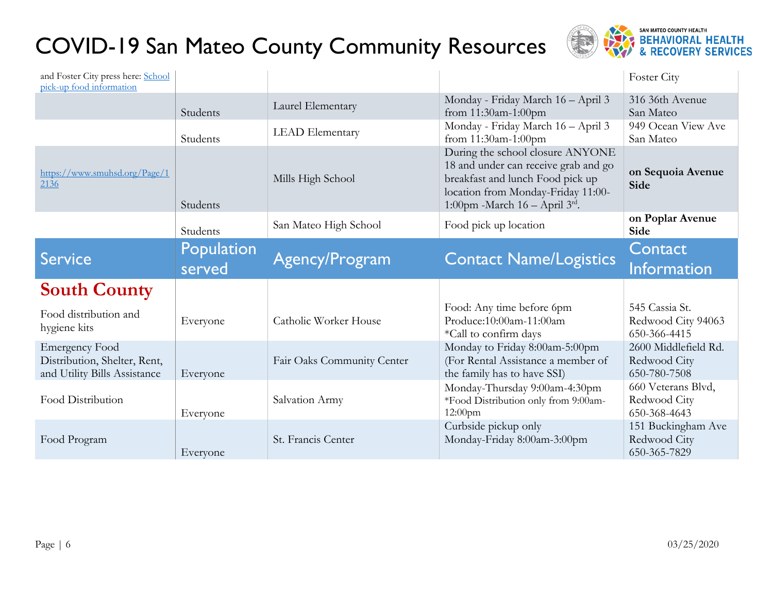

| and Foster City press here: School<br>pick-up food information                        |            |                            |                                                                                                                                                                                          | Foster City                                          |
|---------------------------------------------------------------------------------------|------------|----------------------------|------------------------------------------------------------------------------------------------------------------------------------------------------------------------------------------|------------------------------------------------------|
|                                                                                       | Students   | Laurel Elementary          | Monday - Friday March 16 - April 3<br>from 11:30am-1:00pm                                                                                                                                | 316 36th Avenue<br>San Mateo                         |
|                                                                                       | Students   | <b>LEAD</b> Elementary     | Monday - Friday March 16 - April 3<br>from 11:30am-1:00pm                                                                                                                                | 949 Ocean View Ave<br>San Mateo                      |
| https://www.smuhsd.org/Page/1<br>2136                                                 | Students   | Mills High School          | During the school closure ANYONE<br>18 and under can receive grab and go<br>breakfast and lunch Food pick up<br>location from Monday-Friday 11:00-<br>1:00pm -March $16 -$ April $3rd$ . | on Sequoia Avenue<br>Side                            |
|                                                                                       | Students   | San Mateo High School      | Food pick up location                                                                                                                                                                    | on Poplar Avenue<br>Side                             |
| <b>Service</b>                                                                        | Population | Agency/Program             | <b>Contact Name/Logistics</b>                                                                                                                                                            | <b>Contact</b>                                       |
|                                                                                       | served     |                            |                                                                                                                                                                                          | <b>Information</b>                                   |
| <b>South County</b>                                                                   |            |                            |                                                                                                                                                                                          |                                                      |
| Food distribution and<br>hygiene kits                                                 | Everyone   | Catholic Worker House      | Food: Any time before 6pm<br>Produce:10:00am-11:00am                                                                                                                                     | 545 Cassia St.<br>Redwood City 94063<br>650-366-4415 |
| <b>Emergency Food</b><br>Distribution, Shelter, Rent,<br>and Utility Bills Assistance | Everyone   | Fair Oaks Community Center | *Call to confirm days<br>Monday to Friday 8:00am-5:00pm<br>(For Rental Assistance a member of<br>the family has to have SSI)                                                             | 2600 Middlefield Rd.<br>Redwood City<br>650-780-7508 |
| Food Distribution                                                                     | Everyone   | Salvation Army             | Monday-Thursday 9:00am-4:30pm<br>*Food Distribution only from 9:00am-<br>12:00pm                                                                                                         | 660 Veterans Blvd,<br>Redwood City<br>650-368-4643   |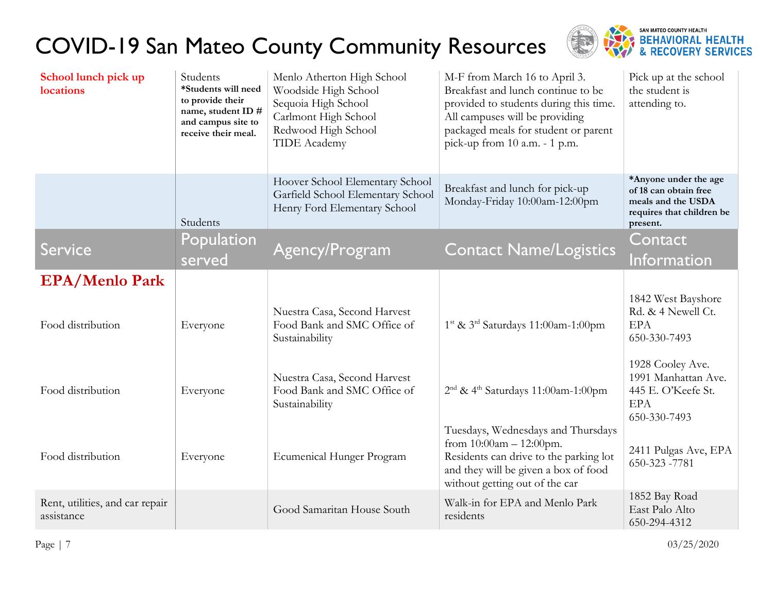

| School lunch pick up<br>locations             | Students<br>*Students will need<br>to provide their<br>name, student ID #<br>and campus site to<br>receive their meal. | Menlo Atherton High School<br>Woodside High School<br>Sequoia High School<br>Carlmont High School<br>Redwood High School<br><b>TIDE</b> Academy | M-F from March 16 to April 3.<br>Breakfast and lunch continue to be<br>provided to students during this time.<br>All campuses will be providing<br>packaged meals for student or parent<br>pick-up from 10 a.m. - 1 p.m. | Pick up at the school<br>the student is<br>attending to.                                                      |
|-----------------------------------------------|------------------------------------------------------------------------------------------------------------------------|-------------------------------------------------------------------------------------------------------------------------------------------------|--------------------------------------------------------------------------------------------------------------------------------------------------------------------------------------------------------------------------|---------------------------------------------------------------------------------------------------------------|
|                                               | Students                                                                                                               | Hoover School Elementary School<br>Garfield School Elementary School<br>Henry Ford Elementary School                                            | Breakfast and lunch for pick-up<br>Monday-Friday 10:00am-12:00pm                                                                                                                                                         | *Anyone under the age<br>of 18 can obtain free<br>meals and the USDA<br>requires that children be<br>present. |
| <b>Service</b>                                | Population<br>served                                                                                                   | Agency/Program                                                                                                                                  | <b>Contact Name/Logistics</b>                                                                                                                                                                                            | Contact,<br>Information                                                                                       |
| <b>EPA/Menlo Park</b>                         |                                                                                                                        |                                                                                                                                                 |                                                                                                                                                                                                                          |                                                                                                               |
| Food distribution                             | Everyone                                                                                                               | Nuestra Casa, Second Harvest<br>Food Bank and SMC Office of<br>Sustainability                                                                   | $1st$ & $3rd$ Saturdays 11:00am-1:00pm                                                                                                                                                                                   | 1842 West Bayshore<br>Rd. & 4 Newell Ct.<br><b>EPA</b><br>650-330-7493                                        |
| Food distribution                             | Everyone                                                                                                               | Nuestra Casa, Second Harvest<br>Food Bank and SMC Office of<br>Sustainability                                                                   | 2 <sup>nd</sup> & 4 <sup>th</sup> Saturdays 11:00am-1:00pm                                                                                                                                                               | 1928 Cooley Ave.<br>1991 Manhattan Ave.<br>445 E. O'Keefe St.<br><b>EPA</b><br>650-330-7493                   |
| Food distribution                             | Everyone                                                                                                               | Ecumenical Hunger Program                                                                                                                       | Tuesdays, Wednesdays and Thursdays<br>from $10:00$ am $- 12:00$ pm.<br>Residents can drive to the parking lot<br>and they will be given a box of food<br>without getting out of the car                                  | 2411 Pulgas Ave, EPA<br>650-323 -7781                                                                         |
| Rent, utilities, and car repair<br>assistance |                                                                                                                        | Good Samaritan House South                                                                                                                      | Walk-in for EPA and Menlo Park<br>residents                                                                                                                                                                              | 1852 Bay Road<br>East Palo Alto<br>650-294-4312                                                               |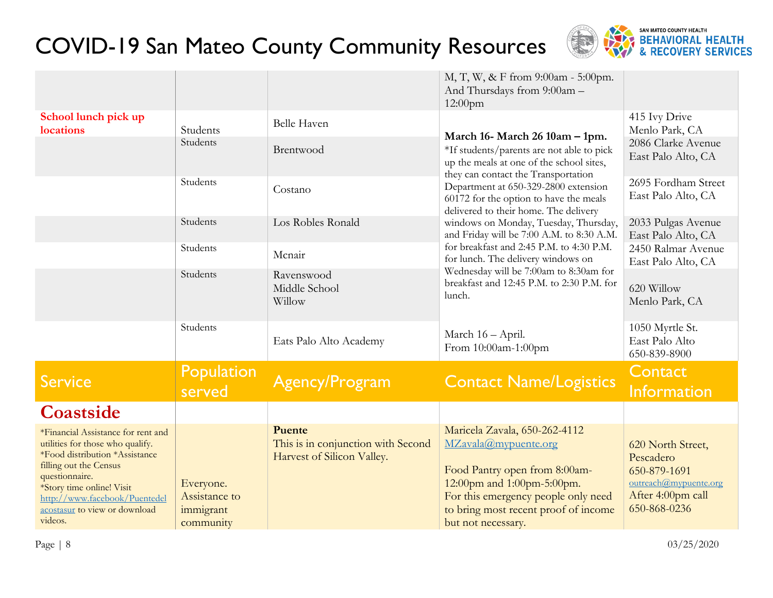

|                                                                                                                                                                                                                                                                |                                                      |                                                                                   | M, T, W, & F from 9:00am - 5:00pm.<br>And Thursdays from 9:00am -<br>$12:00$ pm                                                                                                                                           |                                                                                                              |
|----------------------------------------------------------------------------------------------------------------------------------------------------------------------------------------------------------------------------------------------------------------|------------------------------------------------------|-----------------------------------------------------------------------------------|---------------------------------------------------------------------------------------------------------------------------------------------------------------------------------------------------------------------------|--------------------------------------------------------------------------------------------------------------|
| School lunch pick up<br>locations                                                                                                                                                                                                                              | Students<br>Students                                 | <b>Belle Haven</b><br>Brentwood                                                   | March 16- March 26 10am – 1pm.<br>*If students/parents are not able to pick<br>up the meals at one of the school sites,                                                                                                   | 415 Ivy Drive<br>Menlo Park, CA<br>2086 Clarke Avenue<br>East Palo Alto, CA                                  |
|                                                                                                                                                                                                                                                                | Students                                             | Costano                                                                           | they can contact the Transportation<br>Department at 650-329-2800 extension<br>60172 for the option to have the meals<br>delivered to their home. The delivery                                                            | 2695 Fordham Street<br>East Palo Alto, CA                                                                    |
|                                                                                                                                                                                                                                                                | Students                                             | Los Robles Ronald                                                                 | windows on Monday, Tuesday, Thursday,<br>and Friday will be 7:00 A.M. to 8:30 A.M.                                                                                                                                        | 2033 Pulgas Avenue<br>East Palo Alto, CA                                                                     |
|                                                                                                                                                                                                                                                                | Students                                             | Mcnair                                                                            | for breakfast and 2:45 P.M. to 4:30 P.M.<br>for lunch. The delivery windows on                                                                                                                                            | 2450 Ralmar Avenue<br>East Palo Alto, CA                                                                     |
|                                                                                                                                                                                                                                                                | Students                                             | Ravenswood<br>Middle School<br>Willow                                             | Wednesday will be 7:00am to 8:30am for<br>breakfast and 12:45 P.M. to 2:30 P.M. for<br>lunch.                                                                                                                             | 620 Willow<br>Menlo Park, CA                                                                                 |
|                                                                                                                                                                                                                                                                | Students                                             | Eats Palo Alto Academy                                                            | March 16 - April.<br>From 10:00am-1:00pm                                                                                                                                                                                  | 1050 Myrtle St.<br>East Palo Alto<br>650-839-8900                                                            |
| <b>Service</b>                                                                                                                                                                                                                                                 | <b>Population</b><br>served                          | <b>Agency/Program</b>                                                             | <b>Contact Name/Logistics</b>                                                                                                                                                                                             | Contact<br>Information                                                                                       |
| Coastside                                                                                                                                                                                                                                                      |                                                      |                                                                                   |                                                                                                                                                                                                                           |                                                                                                              |
| *Financial Assistance for rent and<br>utilities for those who qualify.<br>*Food distribution *Assistance<br>filling out the Census<br>questionnaire.<br>*Story time online! Visit<br>http://www.facebook/Puentedel<br>acostasur to view or download<br>videos. | Everyone.<br>Assistance to<br>immigrant<br>community | <b>Puente</b><br>This is in conjunction with Second<br>Harvest of Silicon Valley. | Maricela Zavala, 650-262-4112<br>MZavala@mypuente.org<br>Food Pantry open from 8:00am-<br>12:00pm and 1:00pm-5:00pm.<br>For this emergency people only need<br>to bring most recent proof of income<br>but not necessary. | 620 North Street,<br>Pescadero<br>650-879-1691<br>outreach@mypuente.org<br>After 4:00pm call<br>650-868-0236 |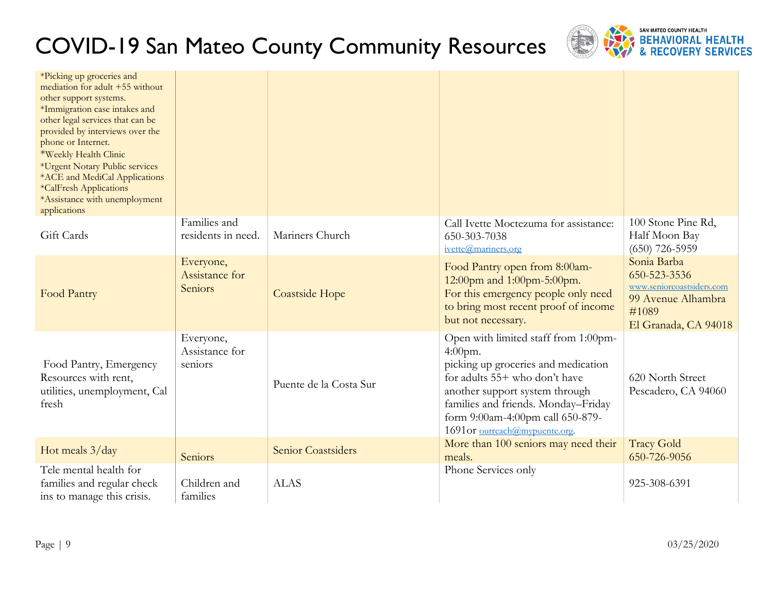

| *Picking up groceries and<br>mediation for adult +55 without<br>other support systems.<br>*Immigration case intakes and<br>other legal services that can be<br>provided by interviews over the<br>phone or Internet.<br>*Weekly Health Clinic<br>*Urgent Notary Public services<br>*ACE and MediCal Applications<br>*CalFresh Applications<br>*Assistance with unemployment<br>applications |                                        |                        |                                                                                                                                                                                                                                                                           |                                                                                                                 |
|---------------------------------------------------------------------------------------------------------------------------------------------------------------------------------------------------------------------------------------------------------------------------------------------------------------------------------------------------------------------------------------------|----------------------------------------|------------------------|---------------------------------------------------------------------------------------------------------------------------------------------------------------------------------------------------------------------------------------------------------------------------|-----------------------------------------------------------------------------------------------------------------|
| Gift Cards                                                                                                                                                                                                                                                                                                                                                                                  | Families and<br>residents in need.     | Mariners Church        | Call Ivette Moctezuma for assistance:<br>650-303-7038<br>ivette@mariners.org                                                                                                                                                                                              | 100 Stone Pine Rd,<br>Half Moon Bay<br>$(650)$ 726-5959                                                         |
| Food Pantry                                                                                                                                                                                                                                                                                                                                                                                 | Everyone,<br>Assistance for<br>Seniors | Coastside Hope         | Food Pantry open from 8:00am-<br>12:00pm and 1:00pm-5:00pm.<br>For this emergency people only need<br>to bring most recent proof of income<br>but not necessary.                                                                                                          | Sonia Barba<br>650-523-3536<br>www.seniorcoastsiders.com<br>99 Avenue Alhambra<br>#1089<br>El Granada, CA 94018 |
| Food Pantry, Emergency<br>Resources with rent,<br>utilities, unemployment, Cal<br>fresh                                                                                                                                                                                                                                                                                                     | Everyone,<br>Assistance for<br>seniors | Puente de la Costa Sur | Open with limited staff from 1:00pm-<br>$4:00$ pm.<br>picking up groceries and medication<br>for adults 55+ who don't have<br>another support system through<br>families and friends. Monday-Friday<br>form 9:00am-4:00pm call 650-879-<br>1691 or outreach@mypuente.org. | 620 North Street<br>Pescadero, CA 94060                                                                         |
| Hot meals 3/day                                                                                                                                                                                                                                                                                                                                                                             | Seniors                                | Senior Coastsiders     | More than 100 seniors may need their<br>meals.                                                                                                                                                                                                                            | <b>Tracy Gold</b><br>650-726-9056                                                                               |
| Tele mental health for<br>families and regular check<br>ins to manage this crisis.                                                                                                                                                                                                                                                                                                          | Children and<br>families               | <b>ALAS</b>            | Phone Services only                                                                                                                                                                                                                                                       | 925-308-6391                                                                                                    |